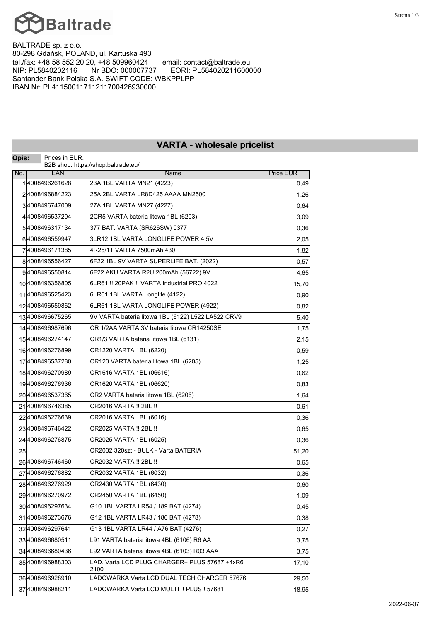

BALTRADE sp. z o.o. 80-298 Gdańsk, POLAND, ul. Kartuska 493<br>tel./fax: +48 58 552 20 20, +48 509960424 email: contact@baltrade.eu tel./fax: +48 58 552 20 20, +48 509960424<br>NIP: PL5840202116 Nr BDO: 000007737 NIP: PL5840202116 Nr BDO: 000007737 EORI: PL584020211600000 Santander Bank Polska S.A. SWIFT CODE: WBKPPLPP IBAN Nr: PL41150011711211700426930000

| Opis: | Prices in EUR.   | וארווים - וויווטופסמופ מווחפווסנ                   |                  |  |
|-------|------------------|----------------------------------------------------|------------------|--|
|       |                  | B2B shop: https://shop.baltrade.eu/                |                  |  |
| No.   | <b>EAN</b>       | Name                                               | <b>Price EUR</b> |  |
|       | 14008496261628   | 23A 1BL VARTA MN21 (4223)                          | 0,49             |  |
|       | 24008496884223   | 25A 2BL VARTA LR8D425 AAAA MN2500                  | 1,26             |  |
|       | 34008496747009   | 27A 1BL VARTA MN27 (4227)                          | 0,64             |  |
|       | 44008496537204   | 2CR5 VARTA bateria litowa 1BL (6203)               | 3,09             |  |
|       | 54008496317134   | 377 BAT. VARTA (SR626SW) 0377                      | 0,36             |  |
|       | 64008496559947   | 3LR12 1BL VARTA LONGLIFE POWER 4,5V                | 2,05             |  |
|       | 74008496171385   | 4R25/1T VARTA 7500mAh 430                          | 1,82             |  |
|       | 84008496556427   | 6F22 1BL 9V VARTA SUPERLIFE BAT. (2022)            | 0,57             |  |
|       | 94008496550814   | 6F22 AKU.VARTA R2U 200mAh (56722) 9V               | 4,65             |  |
|       | 10 4008496356805 | 6LR61 !! 20PAK !! VARTA Industrial PRO 4022        | 15,70            |  |
|       | 11 4008496525423 | 6LR61 1BL VARTA Longlife (4122)                    | 0,90             |  |
|       | 12 4008496559862 | 6LR61 1BL VARTA LONGLIFE POWER (4922)              | 0,82             |  |
|       | 134008496675265  | 9V VARTA bateria litowa 1BL (6122) L522 LA522 CRV9 | 5,40             |  |
|       | 14 4008496987696 | CR 1/2AA VARTA 3V bateria litowa CR14250SE         | 1,75             |  |
|       | 154008496274147  | CR1/3 VARTA bateria litowa 1BL (6131)              | 2,15             |  |
|       | 164008496276899  | CR1220 VARTA 1BL (6220)                            | 0,59             |  |
|       | 17 4008496537280 | CR123 VARTA bateria litowa 1BL (6205)              | 1,25             |  |
|       | 18 4008496270989 | CR1616 VARTA 1BL (06616)                           | 0,62             |  |
|       | 194008496276936  | CR1620 VARTA 1BL (06620)                           | 0,83             |  |
|       | 20 4008496537365 | CR2 VARTA bateria litowa 1BL (6206)                | 1,64             |  |
|       | 21 4008496746385 | CR2016 VARTA !! 2BL !!                             | 0,61             |  |
|       | 22 4008496276639 | CR2016 VARTA 1BL (6016)                            | 0,36             |  |
|       | 23 4008496746422 | CR2025 VARTA !! 2BL !!                             | 0,65             |  |
|       | 24 4008496276875 | CR2025 VARTA 1BL (6025)                            | 0,36             |  |
| 25    |                  | CR2032 320szt - BULK - Varta BATERIA               | 51,20            |  |
|       | 26 4008496746460 | CR2032 VARTA !! 2BL !!                             | 0,65             |  |
|       | 27 4008496276882 | CR2032 VARTA 1BL (6032)                            | 0,36             |  |
|       | 284008496276929  | CR2430 VARTA 1BL (6430)                            | 0,60             |  |
|       | 294008496270972  | CR2450 VARTA 1BL (6450)                            | 1,09             |  |
|       | 30 4008496297634 | G10 1BL VARTA LR54 / 189 BAT (4274)                | 0,45             |  |
|       | 314008496273676  | G12 1BL VARTA LR43 / 186 BAT (4278)                | 0,38             |  |
|       | 324008496297641  | G13 1BL VARTA LR44 / A76 BAT (4276)                | 0,27             |  |
|       | 334008496680511  | L91 VARTA bateria litowa 4BL (6106) R6 AA          | 3,75             |  |
|       | 34 4008496680436 | L92 VARTA bateria litowa 4BL (6103) R03 AAA        | 3,75             |  |
|       | 354008496988303  | LAD. Varta LCD PLUG CHARGER+ PLUS 57687 +4xR6      | 17,10            |  |
|       |                  | 2100                                               |                  |  |
|       | 364008496928910  | LADOWARKA Varta LCD DUAL TECH CHARGER 57676        | 29,50            |  |
|       | 37 4008496988211 | LADOWARKA Varta LCD MULTI ! PLUS ! 57681           | 18,95            |  |

## **VARTA - wholesale pricelist**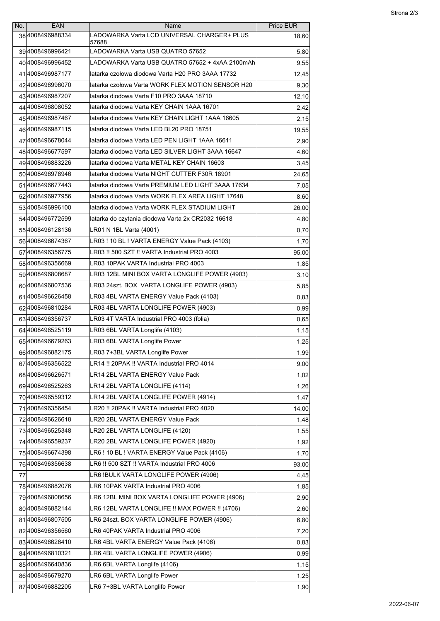| No. | <b>EAN</b>        | Name                                                 | <b>Price EUR</b> |
|-----|-------------------|------------------------------------------------------|------------------|
|     | 384008496988334   | LADOWARKA Varta LCD UNIVERSAL CHARGER+ PLUS<br>57688 | 18,60            |
|     | 394008496996421   | LADOWARKA Varta USB QUATRO 57652                     | 5,80             |
|     | 40 4008496996452  | LADOWARKA Varta USB QUATRO 57652 + 4xAA 2100mAh      | 9,55             |
|     | 414008496987177   | latarka czołowa diodowa Varta H20 PRO 3AAA 17732     | 12,45            |
|     | 42 4008496996070  | latarka czołowa Varta WORK FLEX MOTION SENSOR H20    | 9,30             |
|     | 434008496987207   | latarka diodowa Varta F10 PRO 3AAA 18710             | 12,10            |
|     | 44 4008496808052  | latarka diodowa Varta KEY CHAIN 1AAA 16701           | 2,42             |
|     | 454008496987467   | latarka diodowa Varta KEY CHAIN LIGHT 1AAA 16605     | 2,15             |
|     | 46 400849 6987115 | latarka diodowa Varta LED BL20 PRO 18751             | 19,55            |
|     | 47 4008496678044  | latarka diodowa Varta LED PEN LIGHT 1AAA 16611       | 2,90             |
|     | 484008496677597   | latarka diodowa Varta LED SILVER LIGHT 3AAA 16647    | 4,60             |
|     | 494008496883226   | latarka diodowa Varta METAL KEY CHAIN 16603          | 3,45             |
|     | 50 4008496978946  | latarka diodowa Varta NIGHT CUTTER F30R 18901        | 24,65            |
|     | 51 4008496677443  | latarka diodowa Varta PREMIUM LED LIGHT 3AAA 17634   | 7,05             |
|     | 524008496977956   | latarka diodowa Varta WORK FLEX AREA LIGHT 17648     | 8,60             |
|     | 534008496996100   | latarka diodowa Varta WORK FLEX STADIUM LIGHT        | 26,00            |
|     | 54 4008496772599  | latarka do czytania diodowa Varta 2x CR2032 16618    | 4,80             |
|     | 554008496128136   | LR01 N 1BL Varta (4001)                              | 0,70             |
|     | 56 4008496674367  | LR03! 10 BL! VARTA ENERGY Value Pack (4103)          | 1,70             |
|     | 57 4008496356775  | LR03 !! 500 SZT !! VARTA Industrial PRO 4003         | 95,00            |
|     | 58 4008496356669  | LR03 10PAK VARTA Industrial PRO 4003                 | 1,85             |
|     | 594008496808687   | LR03 12BL MINI BOX VARTA LONGLIFE POWER (4903)       | 3,10             |
|     | 60 4008496807536  | LR03 24szt. BOX  VARTA LONGLIFE POWER (4903)         | 5,85             |
|     | 61 400849 6626458 | LR03 4BL VARTA ENERGY Value Pack (4103)              | 0,83             |
|     | 62 4008496810284  | LR03 4BL VARTA LONGLIFE POWER (4903)                 | 0,99             |
|     | 63 4008496356737  | LR03 4T VARTA Industrial PRO 4003 (folia)            | 0,65             |
|     | 64 4008496525119  | LR03 6BL VARTA Longlife (4103)                       | 1,15             |
|     | 654008496679263   | LR03 6BL VARTA Longlife Power                        | 1,25             |
|     | 664008496882175   | R03 7+3BL VARTA Longlife Power                       | 1,99             |
|     | 67 4008496356522  | LR14 !! 20PAK !! VARTA Industrial PRO 4014           | 9,00             |
|     | 684008496626571   | LR14 2BL VARTA ENERGY Value Pack                     | 1,02             |
|     | 694008496525263   | LR14 2BL VARTA LONGLIFE (4114)                       | 1,26             |
|     | 70 4008496559312  | LR14 2BL VARTA LONGLIFE POWER (4914)                 | 1,47             |
|     | 714008496356454   | LR20 !! 20PAK !! VARTA Industrial PRO 4020           | 14,00            |
|     | 724008496626618   | LR20 2BL VARTA ENERGY Value Pack                     | 1,48             |
|     | 734008496525348   | LR20 2BL VARTA LONGLIFE (4120)                       | 1,55             |
|     | 74 4008496559237  | LR20 2BL VARTA LONGLIFE POWER (4920)                 | 1,92             |
|     | 754008496674398   | LR6 ! 10 BL ! VARTA ENERGY Value Pack (4106)         | 1,70             |
|     | 764008496356638   | LR6 !! 500 SZT !! VARTA Industrial PRO 4006          | 93,00            |
| 77  |                   | LR6 !BULK VARTA LONGLIFE POWER (4906)                | 4,45             |
|     | 784008496882076   | LR6 10PAK VARTA Industrial PRO 4006                  | 1,85             |
|     | 794008496808656   | LR6 12BL MINI BOX VARTA LONGLIFE POWER (4906)        | 2,90             |
|     | 80 4008496882144  | LR6 12BL VARTA LONGLIFE !! MAX POWER !! (4706)       | 2,60             |
|     | 814008496807505   | LR6 24szt. BOX VARTA LONGLIFE POWER (4906)           | 6,80             |
|     | 824008496356560   | LR6 40PAK VARTA Industrial PRO 4006                  | 7,20             |
|     | 834008496626410   | LR6 4BL VARTA ENERGY Value Pack (4106)               | 0,83             |
|     | 84 4008496810321  | LR6 4BL VARTA LONGLIFE POWER (4906)                  | 0,99             |
|     | 854008496640836   | LR6 6BL VARTA Longlife (4106)                        | 1,15             |
|     | 86 4008496679270  | LR6 6BL VARTA Longlife Power                         | 1,25             |
|     | 87 4008496882205  | LR6 7+3BL VARTA Longlife Power                       | 1,90             |